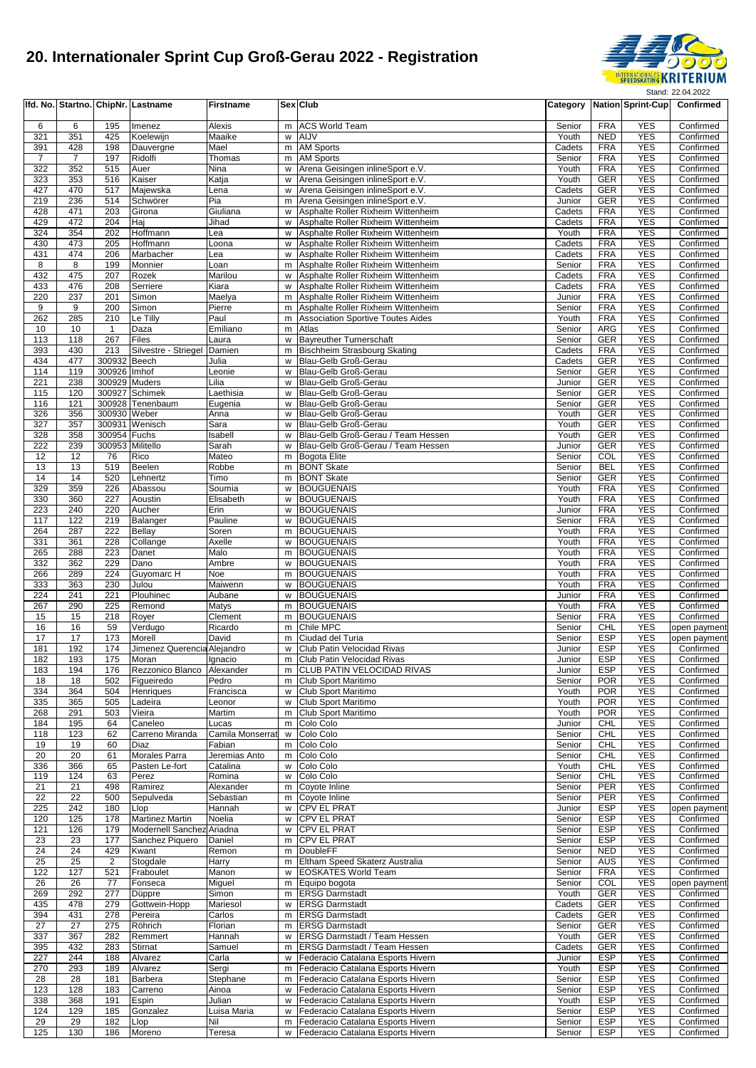

|                       |                       |                  | Ifd. No. Startno. ChipNr. Lastname           | <b>Firstname</b>    |        | Sex Club                                                                 | Category         |                          | <b>Nation Sprint-Cup</b> | Confirmed                    |
|-----------------------|-----------------------|------------------|----------------------------------------------|---------------------|--------|--------------------------------------------------------------------------|------------------|--------------------------|--------------------------|------------------------------|
| 6                     | 6                     | 195              | Imenez                                       | Alexis              | m      | <b>ACS World Team</b>                                                    | Senior           | <b>FRA</b>               | <b>YES</b>               | Confirmed                    |
| 321                   | 351                   | 425              | Koelewijn                                    | Maaike              | W      | AIJV                                                                     | Youth            | <b>NED</b>               | <b>YES</b>               | Confirmed                    |
| 391                   | 428                   | 198              | Dauvergne                                    | Mael                | m      | <b>AM Sports</b>                                                         | Cadets           | <b>FRA</b>               | <b>YES</b>               | Confirmed                    |
| $\overline{7}$<br>322 | $\overline{7}$<br>352 | 197<br>515       | Ridolfi<br>Auer                              | Thomas<br>Nina      | m<br>w | <b>AM Sports</b><br>Arena Geisingen inlineSport e.V.                     | Senior<br>Youth  | <b>FRA</b><br><b>FRA</b> | <b>YES</b><br><b>YES</b> | Confirmed<br>Confirmed       |
| 323                   | 353                   | 516              | Kaiser                                       | Katja               | W      | Arena Geisingen inlineSport e.V.                                         | Youth            | <b>GER</b>               | <b>YES</b>               | Confirmed                    |
| 427                   | 470                   | 517              | Majewska                                     | Lena                | W      | Arena Geisingen inlineSport e.V.                                         | Cadets           | <b>GER</b>               | <b>YES</b>               | Confirmed                    |
| 219                   | 236                   | 514              | Schwörer                                     | Pia                 | m      | Arena Geisingen inlineSport e.V.                                         | Junior           | <b>GER</b>               | <b>YES</b>               | Confirmed                    |
| 428<br>429            | 471                   | 203              | Girona                                       | Giuliana            | W      | Asphalte Roller Rixheim Wittenheim                                       | Cadets           | <b>FRA</b>               | <b>YES</b>               | Confirmed                    |
| 324                   | 472<br>354            | 204<br>202       | Hai<br>Hoffmann                              | Jihad<br>Lea        | w<br>w | Asphalte Roller Rixheim Wittenheim<br>Asphalte Roller Rixheim Wittenheim | Cadets<br>Youth  | <b>FRA</b><br><b>FRA</b> | <b>YES</b><br><b>YES</b> | Confirmed<br>Confirmed       |
| 430                   | 473                   | 205              | Hoffmann                                     | Loona               | w      | Asphalte Roller Rixheim Wittenheim                                       | Cadets           | <b>FRA</b>               | <b>YES</b>               | Confirmed                    |
| 431                   | 474                   | 206              | Marbacher                                    | Lea                 | W      | Asphalte Roller Rixheim Wittenheim                                       | Cadets           | <b>FRA</b>               | <b>YES</b>               | Confirmed                    |
| 8                     | 8                     | 199              | Monnier                                      | Loan                | m      | Asphalte Roller Rixheim Wittenheim                                       | Senior           | <b>FRA</b>               | <b>YES</b>               | Confirmed                    |
| 432<br>433            | 475<br>476            | 207<br>208       | Rozek<br>Serriere                            | Marilou             | w      | Asphalte Roller Rixheim Wittenheim<br>Asphalte Roller Rixheim Wittenheim | Cadets<br>Cadets | <b>FRA</b><br><b>FRA</b> | <b>YES</b><br><b>YES</b> | Confirmed<br>Confirmed       |
| 220                   | 237                   | 201              | Simon                                        | Kiara<br>Maelya     | w<br>m | Asphalte Roller Rixheim Wittenheim                                       | Junior           | <b>FRA</b>               | <b>YES</b>               | Confirmed                    |
| 9                     | 9                     | 200              | Simon                                        | Pierre              | m      | Asphalte Roller Rixheim Wittenheim                                       | Senior           | <b>FRA</b>               | <b>YES</b>               | Confirmed                    |
| 262                   | 285                   | 210              | Le Tilly                                     | Paul                | m      | <b>Association Sportive Toutes Aides</b>                                 | Youth            | <b>FRA</b>               | <b>YES</b>               | Confirmed                    |
| 10                    | 10                    | $\mathbf{1}$     | Daza                                         | Emiliano            | m      | Atlas                                                                    | Senior           | ARG                      | <b>YES</b>               | Confirmed                    |
| 113<br>393            | 118<br>430            | 267<br>213       | Files                                        | Laura<br>Damien     | W<br>m | <b>Bayreuther Turnerschaft</b><br><b>Bischheim Strasbourg Skating</b>    | Senior<br>Cadets | GER<br><b>FRA</b>        | <b>YES</b><br><b>YES</b> | Confirmed<br>Confirmed       |
| 434                   | 477                   | 300932           | Silvestre - Striegel<br><b>Beech</b>         | Julia               | w      | Blau-Gelb Groß-Gerau                                                     | Cadets           | GER                      | <b>YES</b>               | Confirmed                    |
| 114                   | 119                   | 300926 Imhof     |                                              | Leonie              | W      | Blau-Gelb Groß-Gerau                                                     | Senior           | <b>GER</b>               | <b>YES</b>               | Confirmed                    |
| 221                   | 238                   | 300929 Muders    |                                              | Lilia               | W      | Blau-Gelb Groß-Gerau                                                     | Junior           | <b>GER</b>               | <b>YES</b>               | Confirmed                    |
| 115                   | 120                   |                  | 300927 Schimek                               | Laethisia           | w      | Blau-Gelb Groß-Gerau                                                     | Senior           | <b>GER</b>               | <b>YES</b>               | Confirmed                    |
| 116                   | $\overline{121}$      |                  | 300928 Tenenbaum                             | Eugenia             | w      | Blau-Gelb Groß-Gerau                                                     | Senior           | <b>GER</b>               | <b>YES</b>               | Confirmed                    |
| 326<br>327            | 356<br>357            | 300930 Weber     | 300931 Wenisch                               | Anna<br>Sara        | w<br>W | Blau-Gelb Groß-Gerau<br>Blau-Gelb Groß-Gerau                             | Youth<br>Youth   | GER<br><b>GER</b>        | <b>YES</b><br><b>YES</b> | Confirmed<br>Confirmed       |
| 328                   | 358                   | 300954 Fuchs     |                                              | Isabell             | w      | Blau-Gelb Groß-Gerau / Team Hessen                                       | Youth            | GER                      | <b>YES</b>               | Confirmed                    |
| 222                   | 239                   | 300953 Militello |                                              | Sarah               | w      | Blau-Gelb Groß-Gerau / Team Hessen                                       | Junior           | <b>GER</b>               | <b>YES</b>               | Confirmed                    |
| 12                    | 12                    | 76               | Rico                                         | Mateo               | m      | <b>Bogota Elite</b>                                                      | Senior           | COL                      | <b>YES</b>               | Confirmed                    |
| 13                    | 13                    | 519              | <b>Beelen</b>                                | Robbe               | m      | <b>BONT Skate</b>                                                        | Senior           | <b>BEL</b>               | <b>YES</b>               | Confirmed                    |
| 14                    | 14                    | 520              | Lehnertz                                     | Timo                | m      | <b>BONT Skate</b>                                                        | Senior           | <b>GER</b>               | <b>YES</b>               | Confirmed                    |
| 329<br>330            | 359<br>360            | 226<br>227       | Abassou<br>Aoustin                           | Soumia<br>Elisabeth | W<br>w | <b>BOUGUENAIS</b><br><b>BOUGUENAIS</b>                                   | Youth<br>Youth   | <b>FRA</b><br><b>FRA</b> | <b>YES</b><br><b>YES</b> | Confirmed<br>Confirmed       |
| 223                   | 240                   | 220              | Aucher                                       | Erin                | w      | <b>BOUGUENAIS</b>                                                        | Junior           | <b>FRA</b>               | <b>YES</b>               | Confirmed                    |
| 117                   | 122                   | 219              | Balanger                                     | Pauline             | w      | <b>BOUGUENAIS</b>                                                        | Senior           | <b>FRA</b>               | <b>YES</b>               | Confirmed                    |
| 264                   | 287                   | 222              | <b>Bellay</b>                                | Soren               | m      | <b>BOUGUENAIS</b>                                                        | Youth            | <b>FRA</b>               | <b>YES</b>               | Confirmed                    |
| 331                   | 361                   | 228              | Collange                                     | Axelle              | w      | <b>BOUGUENAIS</b>                                                        | Youth            | <b>FRA</b>               | <b>YES</b>               | Confirmed                    |
| 265                   | 288                   | 223              | Danet                                        | Malo                | m      | <b>BOUGUENAIS</b>                                                        | Youth            | <b>FRA</b>               | <b>YES</b>               | Confirmed                    |
| 332<br>266            | 362<br>289            | 229<br>224       | Dano<br>Guyomarc H                           | Ambre<br>Noe        | w<br>m | <b>BOUGUENAIS</b><br><b>BOUGUENAIS</b>                                   | Youth<br>Youth   | <b>FRA</b><br><b>FRA</b> | <b>YES</b><br><b>YES</b> | Confirmed<br>Confirmed       |
| 333                   | 363                   | 230              | Julou                                        | Maiwenn             | W      | <b>BOUGUENAIS</b>                                                        | Youth            | <b>FRA</b>               | <b>YES</b>               | Confirmed                    |
| 224                   | 241                   | 221              | Plouhinec                                    | Aubane              | W      | <b>BOUGUENAIS</b>                                                        | Junior           | <b>FRA</b>               | <b>YES</b>               | Confirmed                    |
| 267                   | 290                   | 225              | Remond                                       | Matys               | m      | <b>BOUGUENAIS</b>                                                        | Youth            | <b>FRA</b>               | <b>YES</b>               | Confirmed                    |
| 15                    | 15                    | 218              | Royer                                        | Clement             | m      | <b>BOUGUENAIS</b>                                                        | Senior           | <b>FRA</b>               | <b>YES</b>               | Confirmed                    |
| 16<br>17              | 16<br>17              | 59<br>173        | Verdugo                                      | Ricardo             | m      | Chile MPC<br>Ciudad del Turia                                            | Senior           | CHL<br><b>ESP</b>        | <b>YES</b><br><b>YES</b> | open payment<br>open payment |
| 181                   | 192                   | 174              | Morell<br>Jimenez Querencia Alejandro        | David               | m<br>w | Club Patin Velocidad Rivas                                               | Senior<br>Junior | <b>ESP</b>               | <b>YES</b>               | Confirmed                    |
| 182                   | 193                   | 175              | Moran                                        | Ignacio             |        | m Club Patin Velocidad Rivas                                             | Junior           | <b>ESP</b>               | <b>YES</b>               | Confirmed                    |
| 183                   | 194                   | 176              | Rezzonico Blanco Alexander                   |                     |        | m CLUB PATIN VELOCIDAD RIVAS                                             | Junior           | <b>ESP</b>               | <b>YES</b>               | Confirmed                    |
| 18                    | 18                    | 502              | Figueiredo                                   | Pedro               | m      | Club Sport Maritimo                                                      | Senior           | <b>POR</b>               | <b>YES</b>               | Confirmed                    |
| 334                   | 364                   | 504              | Henriques                                    | Francisca           | w      | Club Sport Maritimo                                                      | Youth            | <b>POR</b>               | <b>YES</b>               | Confirmed                    |
| 335<br>268            | 365<br>291            | 505<br>503       | Ladeira<br>Vieira                            | Leonor<br>Martim    | w<br>m | Club Sport Maritimo<br>Club Sport Maritimo                               | Youth<br>Youth   | <b>POR</b><br><b>POR</b> | <b>YES</b><br><b>YES</b> | Confirmed<br>Confirmed       |
| 184                   | 195                   | 64               | Caneleo                                      | Lucas               | m      | Colo Colo                                                                | Junior           | CHL                      | <b>YES</b>               | Confirmed                    |
| 118                   | 123                   | 62               | Carreno Miranda                              | Camila Monserrat    | w      | Colo Colo                                                                | Senior           | <b>CHL</b>               | <b>YES</b>               | Confirmed                    |
| 19                    | 19                    | 60               | Diaz                                         | Fabian              | m      | Colo Colo                                                                | Senior           | <b>CHL</b>               | <b>YES</b>               | Confirmed                    |
| 20                    | 20                    | 61               | Morales Parra                                | Jeremias Anto       | m      | Colo Colo                                                                | Senior           | <b>CHL</b>               | <b>YES</b>               | Confirmed                    |
| 336<br>119            | 366<br>124            | 65<br>63         | Pasten Le-fort<br>Perez                      | Catalina<br>Romina  | W<br>w | Colo Colo<br>Colo Colo                                                   | Youth<br>Senior  | CHL<br><b>CHL</b>        | <b>YES</b><br><b>YES</b> | Confirmed<br>Confirmed       |
| 21                    | 21                    | 498              | Ramirez                                      | Alexander           | m      | Coyote Inline                                                            | Senior           | PER                      | <b>YES</b>               | Confirmed                    |
| 22                    | 22                    | 500              | Sepulveda                                    | Sebastian           | m      | Coyote Inline                                                            | Senior           | PER                      | <b>YES</b>               | Confirmed                    |
| 225                   | 242                   | 180              | Llop                                         | Hannah              | w      | <b>CPV EL PRAT</b>                                                       | Junior           | <b>ESP</b>               | <b>YES</b>               | open payment                 |
| 120                   | 125                   | 178              | <b>Martinez Martin</b>                       | Noelia              | w      | <b>CPV EL PRAT</b>                                                       | Senior           | <b>ESP</b>               | <b>YES</b>               | Confirmed                    |
| 121<br>23             | 126<br>23             | 179<br>177       | Modernell Sanchez Ariadna<br>Sanchez Piquero | Daniel              | W<br>m | CPV EL PRAT<br><b>CPV EL PRAT</b>                                        | Senior<br>Senior | <b>ESP</b><br><b>ESP</b> | <b>YES</b><br><b>YES</b> | Confirmed<br>Confirmed       |
| 24                    | 24                    | 429              | Kwant                                        | Remon               | m      | <b>DoubleFF</b>                                                          | Senior           | <b>NED</b>               | <b>YES</b>               | Confirmed                    |
| 25                    | 25                    | $\overline{2}$   | Stogdale                                     | Harry               |        | m Eltham Speed Skaterz Australia                                         | Senior           | AUS                      | <b>YES</b>               | Confirmed                    |
| 122                   | 127                   | 521              | Fraboulet                                    | Manon               |        | w   EOSKATES World Team                                                  | Senior           | <b>FRA</b>               | <b>YES</b>               | Confirmed                    |
| 26                    | 26                    | 77               | Fonseca                                      | Miguel              |        | m Equipo bogota                                                          | Senior           | COL                      | <b>YES</b>               | open payment                 |
| 269                   | 292                   | 277              | Düppre                                       | Simon               |        | m <b>ERSG</b> Darmstadt                                                  | Youth            | <b>GER</b>               | <b>YES</b>               | Confirmed                    |
| 435<br>394            | 478<br>431            | 279<br>278       | Gottwein-Hopp<br>Pereira                     | Mariesol<br>Carlos  | W      | <b>ERSG Darmstadt</b><br>m <b>ERSG</b> Darmstadt                         | Cadets<br>Cadets | GER<br><b>GER</b>        | <b>YES</b><br><b>YES</b> | Confirmed<br>Confirmed       |
| 27                    | 27                    | 275              | Röhrich                                      | Florian             |        | m <b>ERSG</b> Darmstadt                                                  | Senior           | GER                      | <b>YES</b>               | Confirmed                    |
| 337                   | 367                   | 282              | Remmert                                      | Hannah              |        | w   ERSG Darmstadt / Team Hessen                                         | Youth            | GER                      | <b>YES</b>               | Confirmed                    |
| 395                   | 432                   | 283              | Stirnat                                      | Samuel              | m      | <b>ERSG Darmstadt / Team Hessen</b>                                      | Cadets           | <b>GER</b>               | <b>YES</b>               | Confirmed                    |
| 227                   | 244                   | 188              | Alvarez                                      | Carla               | W      | Federacio Catalana Esports Hivern                                        | Junior           | <b>ESP</b>               | <b>YES</b>               | Confirmed                    |
| 270                   | 293                   | 189              | Alvarez                                      | Sergi               | m      | Federacio Catalana Esports Hivern                                        | Youth            | <b>ESP</b>               | <b>YES</b>               | Confirmed                    |
| 28<br>123             | 28<br>128             | 181<br>183       | <b>Barbera</b><br>Carreno                    | Stephane<br>Ainoa   | m<br>W | Federacio Catalana Esports Hivern<br>Federacio Catalana Esports Hivern   | Senior<br>Senior | <b>ESP</b><br>ESP        | <b>YES</b><br><b>YES</b> | Confirmed<br>Confirmed       |
| 338                   | 368                   | 191              | Espin                                        | Julian              | w      | Federacio Catalana Esports Hivern                                        | Youth            | <b>ESP</b>               | <b>YES</b>               | Confirmed                    |
| 124                   | 129                   | 185              | Gonzalez                                     | Luisa Maria         | W      | Federacio Catalana Esports Hivern                                        | Senior           | <b>ESP</b>               | <b>YES</b>               | Confirmed                    |
| 29                    | 29                    | 182              | Llop                                         | Nil                 |        | m Federacio Catalana Esports Hivern                                      | Senior           | <b>ESP</b>               | <b>YES</b>               | Confirmed                    |
| 125                   | 130                   | 186              | Moreno                                       | Teresa              |        | w Federacio Catalana Esports Hivern                                      | Senior           | ESP                      | <b>YES</b>               | Confirmed                    |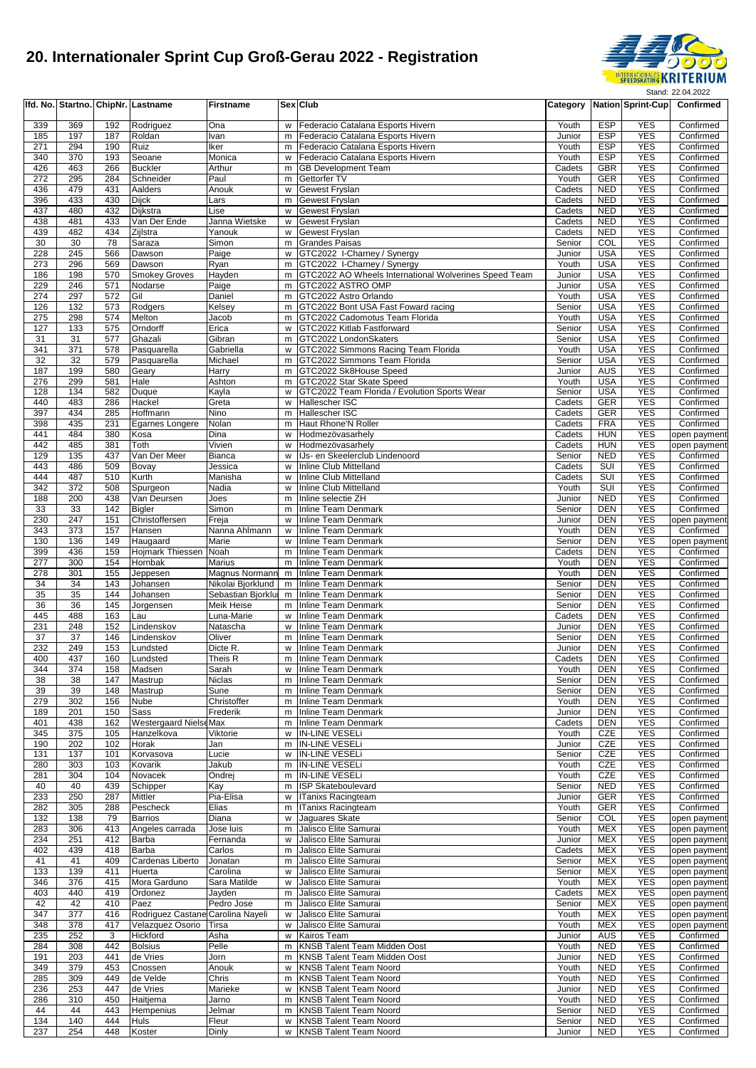

|            |            |            | Ifd. No. Startno. ChipNr. Lastname | <b>Firstname</b>                        |        | Sex Club                                                              |                  |                          | Category Nation Sprint-Cup | Confirmed                    |
|------------|------------|------------|------------------------------------|-----------------------------------------|--------|-----------------------------------------------------------------------|------------------|--------------------------|----------------------------|------------------------------|
| 339        | 369        | 192        | Rodriguez                          | Ona                                     | W      | Federacio Catalana Esports Hivern                                     | Youth            | <b>ESP</b>               | <b>YES</b>                 | Confirmed                    |
| 185        | 197        | 187        | Roldan                             | Ivan                                    | m      | Federacio Catalana Esports Hivern                                     | Junior           | <b>ESP</b>               | <b>YES</b>                 | Confirmed                    |
| 271        | 294        | 190        | Ruiz                               | Iker                                    | m      | Federacio Catalana Esports Hivern                                     | Youth            | <b>ESP</b>               | <b>YES</b>                 | Confirmed                    |
| 340        | 370        | 193        | Seoane                             | Monica                                  |        | w Federacio Catalana Esports Hivern                                   | Youth            | <b>ESP</b>               | <b>YES</b><br><b>YES</b>   | Confirmed                    |
| 426<br>272 | 463<br>295 | 266<br>284 | <b>Buckler</b><br>Schneider        | Arthur<br>Paul                          | m<br>m | <b>GB Development Team</b><br>Gettorfer TV                            | Cadets<br>Youth  | <b>GBR</b><br><b>GER</b> | <b>YES</b>                 | Confirmed<br>Confirmed       |
| 436        | 479        | 431        | Aalders                            | Anouk                                   | w      | <b>Gewest Fryslan</b>                                                 | Cadets           | <b>NED</b>               | <b>YES</b>                 | Confirmed                    |
| 396        | 433        | 430        | <b>Dijck</b>                       | Lars                                    | m      | <b>Gewest Fryslan</b>                                                 | Cadets           | <b>NED</b>               | <b>YES</b>                 | Confirmed                    |
| 437        | 480        | 432        | Dijkstra                           | Lise                                    | w      | <b>Gewest Fryslan</b>                                                 | Cadets           | <b>NED</b>               | <b>YES</b>                 | Confirmed                    |
| 438<br>439 | 481<br>482 | 433<br>434 | Van Der Ende<br>Zijlstra           | Janna Wietske<br>Yanouk                 | w<br>w | Gewest Fryslan<br><b>Gewest Fryslan</b>                               | Cadets<br>Cadets | <b>NED</b><br><b>NED</b> | <b>YES</b><br><b>YES</b>   | Confirmed<br>Confirmed       |
| 30         | 30         | 78         | Saraza                             | Simon                                   | m      | <b>Grandes Paisas</b>                                                 | Senior           | COL                      | <b>YES</b>                 | Confirmed                    |
| 228        | 245        | 566        | Dawson                             | Paige                                   | W      | GTC2022 I-Charney / Synergy                                           | Junior           | <b>USA</b>               | <b>YES</b>                 | Confirmed                    |
| 273        | 296        | 569        | Dawson                             | Ryan                                    |        | m GTC2022 I-Charney / Synergy                                         | Youth            | <b>USA</b>               | <b>YES</b>                 | Confirmed                    |
| 186        | 198        | 570        | <b>Smokey Groves</b>               | Hayden                                  |        | m GTC2022 AO Wheels International Wolverines Speed Team               | Junior           | <b>USA</b>               | <b>YES</b><br><b>YES</b>   | Confirmed                    |
| 229<br>274 | 246<br>297 | 571<br>572 | Nodarse<br>Gil                     | Paige<br>Daniel                         | m      | m GTC2022 ASTRO OMP<br>GTC2022 Astro Orlando                          | Junior<br>Youth  | <b>USA</b><br><b>USA</b> | <b>YES</b>                 | Confirmed<br>Confirmed       |
| 126        | 132        | 573        | Rodgers                            | Kelsey                                  | m      | GTC2022 Bont USA Fast Foward racing                                   | Senior           | <b>USA</b>               | <b>YES</b>                 | Confirmed                    |
| 275        | 298        | 574        | Melton                             | Jacob                                   |        | m GTC2022 Cadomotus Team Florida                                      | Youth            | <b>USA</b>               | <b>YES</b>                 | Confirmed                    |
| 127        | 133        | 575        | Orndorff                           | Erica                                   |        | w GTC2022 Kitlab Fastforward                                          | Senior           | <b>USA</b>               | <b>YES</b>                 | Confirmed                    |
| 31<br>341  | 31<br>371  | 577<br>578 | Ghazali<br>Pasquarella             | Gibran<br>Gabriella                     | m<br>W | GTC2022 LondonSkaters<br>GTC2022 Simmons Racing Team Florida          | Senior<br>Youth  | <b>USA</b><br><b>USA</b> | <b>YES</b><br><b>YES</b>   | Confirmed<br>Confirmed       |
| 32         | 32         | 579        | Pasquarella                        | Michael                                 | m      | GTC2022 Simmons Team Florida                                          | Senior           | <b>USA</b>               | <b>YES</b>                 | Confirmed                    |
| 187        | 199        | 580        | Geary                              | Harry                                   |        | m GTC2022 Sk8House Speed                                              | Junior           | AUS                      | <b>YES</b>                 | Confirmed                    |
| 276        | 299        | 581        | Hale                               | Ashton                                  |        | m GTC2022 Star Skate Speed                                            | Youth            | <b>USA</b>               | <b>YES</b>                 | Confirmed                    |
| 128        | 134        | 582        | Duque                              | Kayla                                   | W      | GTC2022 Team Florida / Evolution Sports Wear                          | Senior           | <b>USA</b>               | <b>YES</b>                 | Confirmed                    |
| 440<br>397 | 483<br>434 | 286<br>285 | Hackel<br>Hoffmann                 | Greta<br>Nino                           | W<br>m | Hallescher ISC<br>Hallescher ISC                                      | Cadets<br>Cadets | <b>GER</b><br><b>GER</b> | <b>YES</b><br><b>YES</b>   | Confirmed<br>Confirmed       |
| 398        | 435        | 231        | Egarnes Longere                    | Nolan                                   |        | m Haut Rhone'N Roller                                                 | Cadets           | <b>FRA</b>               | <b>YES</b>                 | Confirmed                    |
| 441        | 484        | 380        | Kosa                               | Dina                                    | w      | Hodmezövasarhely                                                      | Cadets           | <b>HUN</b>               | <b>YES</b>                 | open payment                 |
| 442        | 485        | 381        | Toth                               | Vivien                                  | w      | Hodmezövasarhelv                                                      | Cadets           | <b>HUN</b>               | <b>YES</b>                 | open payment                 |
| 129        | 135        | 437        | Van Der Meer                       | <b>Bianca</b>                           | w      | IJs- en Skeelerclub Lindenoord                                        | Senior           | <b>NED</b>               | <b>YES</b>                 | Confirmed                    |
| 443<br>444 | 486<br>487 | 509<br>510 | Bovay<br>Kurth                     | Jessica<br>Manisha                      | w<br>W | Inline Club Mittelland<br>Inline Club Mittelland                      | Cadets<br>Cadets | SUI<br>SUI               | <b>YES</b><br><b>YES</b>   | Confirmed<br>Confirmed       |
| 342        | 372        | 508        | Spurgeon                           | Nadia                                   | w      | Inline Club Mittelland                                                | Youth            | SUI                      | <b>YES</b>                 | Confirmed                    |
| 188        | 200        | 438        | Van Deursen                        | Joes                                    | m      | Inline selectie ZH                                                    | Junior           | <b>NED</b>               | <b>YES</b>                 | Confirmed                    |
| 33         | 33         | 142        | <b>Bigler</b>                      | Simon                                   | m      | <b>Inline Team Denmark</b>                                            | Senior           | <b>DEN</b>               | <b>YES</b>                 | Confirmed                    |
| 230        | 247        | 151        | Christoffersen                     | Freja                                   | W      | <b>Inline Team Denmark</b>                                            | Junior           | <b>DEN</b>               | <b>YES</b><br><b>YES</b>   | open paymen                  |
| 343<br>130 | 373<br>136 | 157<br>149 | Hansen<br>Haugaard                 | Nanna Ahlmann<br>Marie                  | W<br>w | Inline Team Denmark<br><b>Inline Team Denmark</b>                     | Youth<br>Senior  | <b>DEN</b><br><b>DEN</b> | <b>YES</b>                 | Confirmed<br>open payment    |
| 399        | 436        | 159        | Hojmark Thiessen                   | Noah                                    | m      | <b>Inline Team Denmark</b>                                            | Cadets           | <b>DEN</b>               | <b>YES</b>                 | Confirmed                    |
| 277        | 300        | 154        | Hornbak                            | Marius                                  | m      | <b>Inline Team Denmark</b>                                            | Youth            | <b>DEN</b>               | <b>YES</b>                 | Confirmed                    |
| 278        | 301        | 155        | Jeppesen                           | Magnus Normann                          | m      | Inline Team Denmark                                                   | Youth            | <b>DEN</b>               | <b>YES</b>                 | Confirmed                    |
| 34<br>35   | 34<br>35   | 143<br>144 | Johansen<br>Johansen               | Nikolai Bjorklund<br>Sebastian Bjorklur | m      | m Inline Team Denmark<br>Inline Team Denmark                          | Senior<br>Senior | <b>DEN</b><br><b>DEN</b> | <b>YES</b><br><b>YES</b>   | Confirmed<br>Confirmed       |
| 36         | 36         | 145        | Jorgensen                          | Meik Heise                              | m      | <b>Inline Team Denmark</b>                                            | Senior           | <b>DEN</b>               | <b>YES</b>                 | Confirmed                    |
| 445        | 488        | 163        | Lau                                | Luna-Marie                              | W      | <b>Inline Team Denmark</b>                                            | Cadets           | <b>DEN</b>               | <b>YES</b>                 | Confirmed                    |
| 231        | 248        | 152        | Lindenskov                         | Natascha                                | w      | <b>Inline Team Denmark</b>                                            | Junior           | <b>DEN</b>               | <b>YES</b>                 | Confirmed                    |
| 37         | 37         | 146        | Lindenskov                         | Oliver                                  | m      | Inline Team Denmark                                                   | Senior           | <b>DEN</b>               | <b>YES</b>                 | Confirmed                    |
| 232<br>400 | 249<br>437 | 153<br>160 | Lundsted<br>Lundsted               | Dicte R.<br>Theis R                     | w<br>m | <b>Inline Team Denmark</b><br>Inline Team Denmark                     | Junior<br>Cadets | <b>DEN</b><br><b>DEN</b> | <b>YES</b><br><b>YES</b>   | Confirmed<br>Confirmed       |
| 344        | 374        | 158        | Madsen                             | Sarah                                   | W      | Inline Team Denmark                                                   | Youth            | DEN                      | YES                        | Confirmed                    |
| 38         | 38         | 147        | Mastrup                            | Niclas                                  | m      | Inline Team Denmark                                                   | Senior           | <b>DEN</b>               | <b>YES</b>                 | Confirmed                    |
| 39         | 39         | 148        | Mastrup                            | Sune                                    |        | m Inline Team Denmark                                                 | Senior           | DEN                      | <b>YES</b>                 | Confirmed                    |
| 279<br>189 | 302<br>201 | 156<br>150 | <b>Nube</b><br>Sass                | Christoffer<br>Frederik                 | m      | <b>Inline Team Denmark</b><br>Inline Team Denmark                     | Youth<br>Junior  | <b>DEN</b><br>DEN        | <b>YES</b><br><b>YES</b>   | Confirmed<br>Confirmed       |
| 401        | 438        | 162        | Westergaard NielseMax              |                                         | m<br>m | <b>Inline Team Denmark</b>                                            | Cadets           | <b>DEN</b>               | <b>YES</b>                 | Confirmed                    |
| 345        | 375        | 105        | Hanzelkova                         | Viktorie                                | w      | <b>IN-LINE VESELI</b>                                                 | Youth            | CZE                      | <b>YES</b>                 | Confirmed                    |
| 190        | 202        | 102        | Horak                              | Jan                                     |        | m  IN-LINE VESELi                                                     | Junior           | CZE                      | <b>YES</b>                 | Confirmed                    |
| 131        | 137        | 101        | Korvasova                          | Lucie                                   | w      | <b>IN-LINE VESELI</b>                                                 | Senior           | CZE                      | <b>YES</b>                 | Confirmed                    |
| 280<br>281 | 303<br>304 | 103<br>104 | Kovarik<br>Novacek                 | Jakub<br>Ondrej                         | m<br>m | <b>IN-LINE VESELI</b><br><b>IN-LINE VESELI</b>                        | Youth<br>Youth   | CZE<br>CZE               | <b>YES</b><br><b>YES</b>   | Confirmed<br>Confirmed       |
| 40         | 40         | 439        | Schipper                           | Kay                                     | m      | <b>ISP Skateboulevard</b>                                             | Senior           | <b>NED</b>               | <b>YES</b>                 | Confirmed                    |
| 233        | 250        | 287        | Mittler                            | Pia-Elisa                               |        | w   Tanixs Racingteam                                                 | Junior           | GER                      | <b>YES</b>                 | Confirmed                    |
| 282        | 305        | 288        | Pescheck                           | Elias                                   | m      | <b>ITanixs Racingteam</b>                                             | Youth            | <b>GER</b>               | <b>YES</b>                 | Confirmed                    |
| 132<br>283 | 138<br>306 | 79<br>413  | <b>Barrios</b><br>Angeles carrada  | Diana<br>Jose luis                      | w<br>m | Jaquares Skate<br>Jalisco Elite Samurai                               | Senior<br>Youth  | COL<br><b>MEX</b>        | <b>YES</b><br><b>YES</b>   | open payment                 |
| 234        | 251        | 412        | Barba                              | Fernanda                                | w      | Jalisco Elite Samurai                                                 | Junior           | <b>MEX</b>               | <b>YES</b>                 | open payment<br>open payment |
| 402        | 439        | 418        | Barba                              | Carlos                                  |        | m Jalisco Elite Samurai                                               | Cadets           | <b>MEX</b>               | <b>YES</b>                 | open payment                 |
| 41         | 41         | 409        | Cardenas Liberto                   | Jonatan                                 | m      | Jalisco Elite Samurai                                                 | Senior           | <b>MEX</b>               | <b>YES</b>                 | open payment                 |
| 133        | 139        | 411        | Huerta                             | Carolina                                | w      | Jalisco Elite Samurai                                                 | Senior           | <b>MEX</b>               | <b>YES</b>                 | open payment                 |
| 346        | 376        | 415        | Mora Garduno                       | Sara Matilde                            | w      | Jalisco Elite Samurai                                                 | Youth            | <b>MEX</b>               | <b>YES</b>                 | open payment                 |
| 403<br>42  | 440<br>42  | 419<br>410 | Ordonez<br>Paez                    | Jayden<br>Pedro Jose                    | m<br>m | Jalisco Elite Samurai<br>Jalisco Elite Samurai                        | Cadets<br>Senior | <b>MEX</b><br><b>MEX</b> | <b>YES</b><br><b>YES</b>   | open payment<br>open payment |
| 347        | 377        | 416        | Rodriguez Castane Carolina Nayeli  |                                         | w      | Jalisco Elite Samurai                                                 | Youth            | <b>MEX</b>               | <b>YES</b>                 | open payment                 |
| 348        | 378        | 417        | Velazquez Osorio                   | Tirsa                                   | W      | Jalisco Elite Samurai                                                 | Youth            | <b>MEX</b>               | <b>YES</b>                 | open payment                 |
| 235        | 252        | 3          | Hickford                           | Asha                                    | W      | <b>Kairos Team</b>                                                    | Junior           | <b>AUS</b>               | <b>YES</b>                 | Confirmed                    |
| 284<br>191 | 308<br>203 | 442<br>441 | <b>Bolsius</b><br>de Vries         | Pelle<br>Jorn                           | m      | <b>KNSB Talent Team Midden Oost</b><br>m KNSB Talent Team Midden Oost | Youth<br>Junior  | <b>NED</b><br><b>NED</b> | <b>YES</b><br><b>YES</b>   | Confirmed<br>Confirmed       |
| 349        | 379        | 453        | Cnossen                            | Anouk                                   |        | w KNSB Talent Team Noord                                              | Youth            | <b>NED</b>               | <b>YES</b>                 | Confirmed                    |
| 285        | 309        | 449        | de Velde                           | Chris                                   | m      | <b>KNSB Talent Team Noord</b>                                         | Youth            | <b>NED</b>               | <b>YES</b>                 | Confirmed                    |
| 236        | 253        | 447        | de Vries                           | Marieke                                 | W      | <b>KNSB Talent Team Noord</b>                                         | Junior           | <b>NED</b>               | <b>YES</b>                 | Confirmed                    |
| 286        | 310        | 450        | Haitjema                           | Jarno                                   | m      | <b>KNSB Talent Team Noord</b>                                         | Youth            | <b>NED</b>               | <b>YES</b>                 | Confirmed                    |
| 44<br>134  | 44<br>140  | 443<br>444 | Hempenius<br>Huls                  | Jelmar<br>Fleur                         |        | m KNSB Talent Team Noord<br>w KNSB Talent Team Noord                  | Senior<br>Senior | <b>NED</b><br><b>NED</b> | <b>YES</b><br><b>YES</b>   | Confirmed<br>Confirmed       |
| 237        | 254        | 448        | Koster                             | Dinly                                   |        | w KNSB Talent Team Noord                                              | Junior           | NED                      | <b>YES</b>                 | Confirmed                    |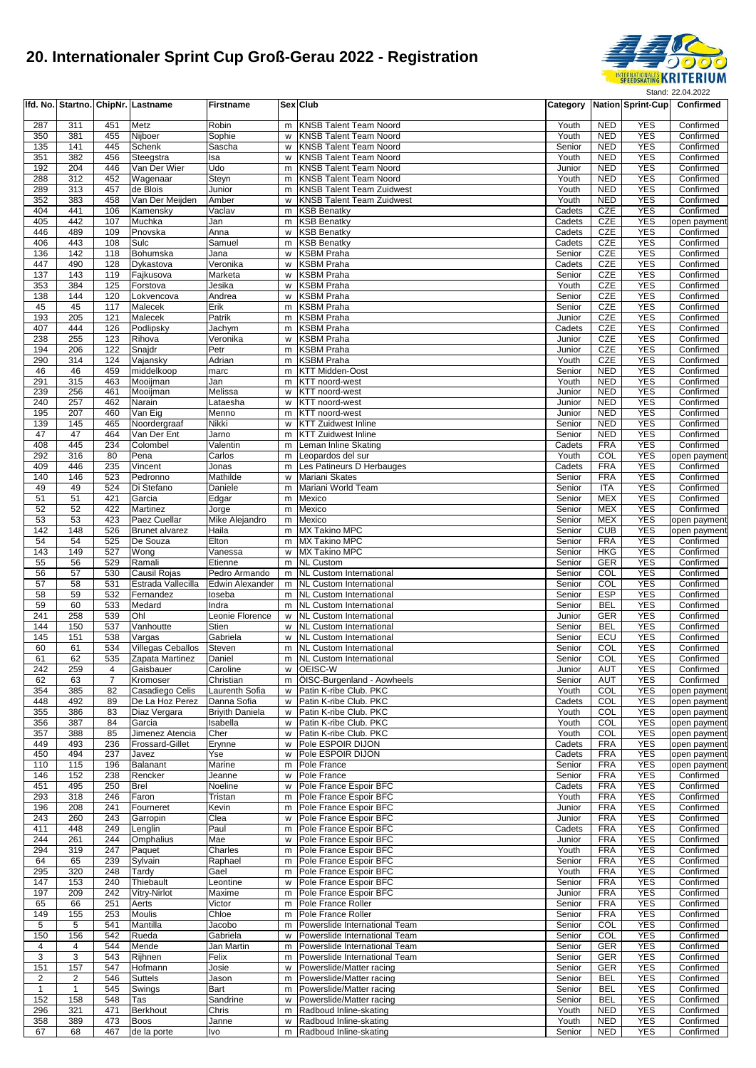

|                |                  |                     | Ifd. No. Startno. ChipNr. Lastname | <b>Firstname</b>         |        | Sex Club                                                           |                  |                          | Category   Nation Sprint-Cup | Confirmed                    |
|----------------|------------------|---------------------|------------------------------------|--------------------------|--------|--------------------------------------------------------------------|------------------|--------------------------|------------------------------|------------------------------|
| 287            | 311              | 451                 | Metz                               | Robin                    | m      | KNSB Talent Team Noord                                             | Youth            | <b>NED</b>               | <b>YES</b>                   | Confirmed                    |
| 350            | 381              | 455                 | Nijboer                            | Sophie                   | w      | <b>KNSB Talent Team Noord</b>                                      | Youth            | <b>NED</b>               | <b>YES</b>                   | Confirmed                    |
| 135            | 141              | 445                 | Schenk                             | Sascha                   | w      | <b>KNSB Talent Team Noord</b>                                      | Senior           | <b>NED</b>               | <b>YES</b>                   | Confirmed                    |
| 351            | 382              | 456                 | Steegstra                          | Isa                      | w      | <b>KNSB Talent Team Noord</b>                                      | Youth            | <b>NED</b>               | <b>YES</b>                   | Confirmed                    |
| 192<br>288     | 204<br>312       | 446<br>452          | Van Der Wier                       | Udo                      | m<br>m | <b>KNSB Talent Team Noord</b><br><b>KNSB Talent Team Noord</b>     | Junior<br>Youth  | <b>NED</b><br><b>NED</b> | <b>YES</b><br><b>YES</b>     | Confirmed                    |
| 289            | 313              | 457                 | Wagenaar<br>de Blois               | Steyn<br>Junior          | m      | <b>KNSB Talent Team Zuidwest</b>                                   | Youth            | <b>NED</b>               | <b>YES</b>                   | Confirmed<br>Confirmed       |
| 352            | 383              | 458                 | Van Der Meijden                    | Amber                    | w      | <b>KNSB Talent Team Zuidwest</b>                                   | Youth            | <b>NED</b>               | <b>YES</b>                   | Confirmed                    |
| 404            | 441              | 106                 | Kamensky                           | Vaclav                   | m      | <b>KSB Benatky</b>                                                 | Cadets           | CZE                      | <b>YES</b>                   | Confirmed                    |
| 405            | 442              | 107                 | Muchka                             | Jan                      | m      | <b>KSB Benatky</b>                                                 | Cadets           | CZE                      | <b>YES</b>                   | open payment                 |
| 446            | 489              | 109                 | Pnovska                            | Anna                     | w      | <b>KSB Benatky</b>                                                 | Cadets           | CZE                      | <b>YES</b>                   | Confirmed                    |
| 406<br>136     | 443<br>142       | 108<br>118          | Sulc<br>Bohumska                   | Samuel<br>Jana           | m<br>w | <b>KSB Benatky</b><br><b>KSBM Praha</b>                            | Cadets<br>Senior | CZE<br>CZE               | <b>YES</b><br><b>YES</b>     | Confirmed<br>Confirmed       |
| 447            | 490              | 128                 | Dykastova                          | Veronika                 | w      | KSBM Praha                                                         | Cadets           | CZE                      | <b>YES</b>                   | Confirmed                    |
| 137            | $\overline{143}$ | 119                 | Fajkusova                          | Marketa                  | w      | <b>KSBM Praha</b>                                                  | Senior           | CZE                      | <b>YES</b>                   | Confirmed                    |
| 353            | 384              | 125                 | Forstova                           | Jesika                   | W      | <b>KSBM Praha</b>                                                  | Youth            | CZE                      | <b>YES</b>                   | Confirmed                    |
| 138            | 144              | 120                 | Lokvencova                         | Andrea                   | w      | KSBM Praha                                                         | Senior           | CZE                      | <b>YES</b>                   | Confirmed                    |
| 45             | 45               | 117                 | Malecek                            | Erik                     | m      | <b>KSBM Praha</b>                                                  | Senior           | CZE                      | <b>YES</b>                   | Confirmed                    |
| 193<br>407     | 205<br>444       | 121<br>126          | Malecek<br>Podlipsky               | Patrik<br>Jachym         | m<br>m | <b>KSBM Praha</b><br>KSBM Praha                                    | Junior<br>Cadets | CZE<br>CZE               | <b>YES</b><br><b>YES</b>     | Confirmed<br>Confirmed       |
| 238            | 255              | 123                 | Rihova                             | Veronika                 | W      | <b>KSBM Praha</b>                                                  | Junior           | CZE                      | <b>YES</b>                   | Confirmed                    |
| 194            | 206              | 122                 | Snajdr                             | Petr                     | m      | <b>KSBM Praha</b>                                                  | Junior           | CZE                      | <b>YES</b>                   | Confirmed                    |
| 290            | 314              | 124                 | Vajansky                           | Adrian                   | m      | <b>KSBM Praha</b>                                                  | Youth            | CZE                      | <b>YES</b>                   | Confirmed                    |
| 46             | 46               | 459                 | middelkoop                         | marc                     |        | m KTT Midden-Oost                                                  | Senior           | <b>NED</b>               | <b>YES</b>                   | Confirmed                    |
| 291            | 315              | 463                 | Mooijman                           | Jan                      | m      | KTT noord-west                                                     | Youth            | <b>NED</b>               | <b>YES</b>                   | Confirmed                    |
| 239<br>240     | 256<br>257       | 461<br>462          | Mooijman<br>Narain                 | Melissa<br>Lataesha      | w<br>w | KTT noord-west<br>KTT noord-west                                   | Junior<br>Junior | <b>NED</b><br><b>NED</b> | <b>YES</b><br><b>YES</b>     | Confirmed<br>Confirmed       |
| 195            | 207              | 460                 | Van Eig                            | Menno                    | m      | KTT noord-west                                                     | Junior           | <b>NED</b>               | <b>YES</b>                   | Confirmed                    |
| 139            | 145              | 465                 | Noordergraaf                       | Nikki                    | W      | <b>KTT Zuidwest Inline</b>                                         | Senior           | <b>NED</b>               | <b>YES</b>                   | Confirmed                    |
| 47             | 47               | 464                 | Van Der Ent                        | Jarno                    | m      | <b>KTT Zuidwest Inline</b>                                         | Senior           | <b>NED</b>               | <b>YES</b>                   | Confirmed                    |
| 408            | 445              | 234                 | Colombel                           | Valentin                 | m      | Leman Inline Skating                                               | Cadets           | <b>FRA</b>               | <b>YES</b>                   | Confirmed                    |
| 292<br>409     | 316<br>446       | 80<br>235           | Pena                               | Carlos                   | m<br>m | Leopardos del sur<br>Les Patineurs D Herbauges                     | Youth<br>Cadets  | COL<br><b>FRA</b>        | <b>YES</b><br><b>YES</b>     | open payment                 |
| 140            | 146              | 523                 | Vincent<br>Pedronno                | Jonas<br>Mathilde        | w      | Mariani Skates                                                     | Senior           | <b>FRA</b>               | <b>YES</b>                   | Confirmed<br>Confirmed       |
| 49             | 49               | 524                 | Di Stefano                         | Daniele                  | m      | Mariani World Team                                                 | Senior           | <b>ITA</b>               | <b>YES</b>                   | Confirmed                    |
| 51             | 51               | 421                 | Garcia                             | Edgar                    | m      | Mexico                                                             | Senior           | <b>MEX</b>               | <b>YES</b>                   | Confirmed                    |
| 52             | 52               | 422                 | Martinez                           | Jorge                    | m      | Mexico                                                             | Senior           | <b>MEX</b>               | <b>YES</b>                   | Confirmed                    |
| 53             | 53               | 423                 | Paez Cuellar                       | Mike Alejandro           | m      | Mexico                                                             | Senior           | <b>MEX</b>               | <b>YES</b>                   | open payment                 |
| 142<br>54      | 148<br>54        | 526<br>525          | <b>Brunet alvarez</b><br>De Souza  | Haila<br>Elton           | m      | m MX Takino MPC<br><b>MX Takino MPC</b>                            | Senior<br>Senior | <b>CUB</b><br><b>FRA</b> | <b>YES</b><br><b>YES</b>     | open payment<br>Confirmed    |
| 143            | 149              | 527                 | Wong                               | Vanessa                  | w      | <b>MX Takino MPC</b>                                               | Senior           | <b>HKG</b>               | <b>YES</b>                   | Confirmed                    |
| 55             | 56               | 529                 | Ramali                             | Etienne                  | m      | <b>NL Custom</b>                                                   | Senior           | <b>GER</b>               | <b>YES</b>                   | Confirmed                    |
| 56             | 57               | 530                 | Causil Rojas                       | Pedro Armando            |        | m NL Custom International                                          | Senior           | COL                      | <b>YES</b>                   | Confirmed                    |
| 57             | 58               | 531                 | Estrada Vallecilla                 | <b>Edwin Alexander</b>   |        | m NL Custom International                                          | Senior           | COL                      | <b>YES</b>                   | Confirmed                    |
| 58             | 59               | 532                 | Fernandez                          | loseba                   |        | m NL Custom International                                          | Senior           | <b>ESP</b>               | <b>YES</b>                   | Confirmed                    |
| 59<br>241      | 60<br>258        | 533<br>539          | Medard<br>Ohl                      | Indra<br>Leonie Florence | m<br>W | <b>NL Custom International</b><br><b>NL Custom International</b>   | Senior<br>Junior | <b>BEL</b><br><b>GER</b> | <b>YES</b><br><b>YES</b>     | Confirmed<br>Confirmed       |
| 144            | 150              | 537                 | Vanhoutte                          | Stien                    | W      | <b>NL Custom International</b>                                     | Senior           | <b>BEL</b>               | <b>YES</b>                   | Confirmed                    |
| 145            | 151              | 538                 | Vargas                             | Gabriela                 |        | w NL Custom International                                          | Senior           | ECU                      | <b>YES</b>                   | Confirmed                    |
| 60             | 61               | 534                 | <b>Villegas Ceballos</b>           | Steven                   | m      | <b>NL Custom International</b>                                     | Senior           | COL                      | <b>YES</b>                   | Confirmed                    |
| 61             | 62               | 535                 | Zapata Martinez                    | Daniel                   |        | m NL Custom International                                          | Senior           | COL                      | <b>YES</b>                   | Confirmed                    |
| 242<br>62      | 259<br>63        | 4<br>$\overline{7}$ | Gaisbauer                          | Caroline<br>Christian    |        | w OEISC-W<br>ÖISC-Burgenland - Aowheels                            | Junior<br>Senior | AUT<br>AUT               | YES<br><b>YES</b>            | Confirmed                    |
| 354            | 385              | 82                  | Kromoser<br>Casadiego Celis        | Laurenth Sofia           | m      | w Patin K-ribe Club. PKC                                           | Youth            | COL                      | <b>YES</b>                   | Confirmed<br>open payment    |
| 448            | 492              | 89                  | De La Hoz Perez                    | Danna Sofia              | W      | Patin K-ribe Club. PKC                                             | Cadets           | COL                      | <b>YES</b>                   | open payment                 |
| 355            | 386              | 83                  | Diaz Vergara                       | <b>Briyith Daniela</b>   | W      | Patin K-ribe Club. PKC                                             | Youth            | COL                      | <b>YES</b>                   | open payment                 |
| 356            | 387              | 84                  | Garcia                             | Isabella                 | w      | Patin K-ribe Club. PKC                                             | Youth            | COL                      | YES                          | open payment                 |
| 357            | 388              | 85                  | Jimenez Atencia                    | Cher                     |        | w Patin K-ribe Club. PKC                                           | Youth            | COL                      | <b>YES</b>                   | open payment                 |
| 449<br>450     | 493<br>494       | 236<br>237          | Frossard-Gillet<br>Javez           | Erynne<br>Yse            | w<br>w | Pole ESPOIR DIJON<br>Pole ESPOIR DIJON                             | Cadets<br>Cadets | <b>FRA</b><br><b>FRA</b> | <b>YES</b><br><b>YES</b>     | open payment<br>open payment |
| 110            | 115              | 196                 | Balanant                           | Marine                   |        | m Pole France                                                      | Senior           | <b>FRA</b>               | <b>YES</b>                   | open payment                 |
| 146            | 152              | 238                 | Rencker                            | Jeanne                   | w      | Pole France                                                        | Senior           | <b>FRA</b>               | <b>YES</b>                   | Confirmed                    |
| 451            | 495              | 250                 | <b>Brel</b>                        | Noeline                  |        | w Pole France Espoir BFC                                           | Cadets           | <b>FRA</b>               | <b>YES</b>                   | Confirmed                    |
| 293            | 318              | 246                 | Faron                              | Tristan                  |        | m Pole France Espoir BFC                                           | Youth            | <b>FRA</b>               | <b>YES</b>                   | Confirmed                    |
| 196<br>243     | 208<br>260       | 241<br>243          | Fourneret<br>Garropin              | Kevin<br>Clea            | W      | m   Pole France Espoir BFC<br>Pole France Espoir BFC               | Junior<br>Junior | <b>FRA</b><br><b>FRA</b> | <b>YES</b><br><b>YES</b>     | Confirmed<br>Confirmed       |
| 411            | 448              | 249                 | Lenglin                            | Paul                     | m      | Pole France Espoir BFC                                             | Cadets           | <b>FRA</b>               | <b>YES</b>                   | Confirmed                    |
| 244            | 261              | 244                 | Omphalius                          | Mae                      |        | w Pole France Espoir BFC                                           | Junior           | <b>FRA</b>               | <b>YES</b>                   | Confirmed                    |
| 294            | 319              | 247                 | Paquet                             | Charles                  |        | m Pole France Espoir BFC                                           | Youth            | <b>FRA</b>               | <b>YES</b>                   | Confirmed                    |
| 64             | 65               | 239                 | Sylvain                            | Raphael                  |        | m   Pole France Espoir BFC                                         | Senior           | <b>FRA</b>               | <b>YES</b>                   | Confirmed                    |
| 295            | 320              | 248                 | Tardy<br>Thiebault                 | Gael                     | w      | m   Pole France Espoir BFC                                         | Youth            | <b>FRA</b>               | <b>YES</b>                   | Confirmed<br>Confirmed       |
| 147<br>197     | 153<br>209       | 240<br>242          | Vitry-Nirlot                       | Leontine<br>Maxime       |        | Pole France Espoir BFC<br>m Pole France Espoir BFC                 | Senior<br>Junior | <b>FRA</b><br><b>FRA</b> | <b>YES</b><br><b>YES</b>     | Confirmed                    |
| 65             | 66               | 251                 | Aerts                              | Victor                   |        | m Pole France Roller                                               | Senior           | <b>FRA</b>               | <b>YES</b>                   | Confirmed                    |
| 149            | 155              | 253                 | Moulis                             | Chloe                    | m      | Pole France Roller                                                 | Senior           | <b>FRA</b>               | <b>YES</b>                   | Confirmed                    |
| 5              | 5                | 541                 | Mantilla                           | Jacobo                   | m      | Powerslide International Team                                      | Senior           | COL                      | <b>YES</b>                   | Confirmed                    |
| 150            | 156              | 542                 | Rueda                              | Gabriela                 | w      | Powerslide International Team                                      | Senior           | COL                      | <b>YES</b>                   | Confirmed                    |
| 4<br>3         | 4<br>3           | 544<br>543          | Mende<br>Rijhnen                   | Jan Martin<br>Felix      |        | m Powerslide International Team<br>m Powerslide International Team | Senior<br>Senior | <b>GER</b><br>GER        | <b>YES</b><br><b>YES</b>     | Confirmed<br>Confirmed       |
| 151            | 157              | 547                 | Hofmann                            | Josie                    | W      | Powerslide/Matter racing                                           | Senior           | GER                      | <b>YES</b>                   | Confirmed                    |
| $\overline{2}$ | 2                | 546                 | Suttels                            | Jason                    | m      | Powerslide/Matter racing                                           | Senior           | <b>BEL</b>               | <b>YES</b>                   | Confirmed                    |
| $\mathbf{1}$   | $\mathbf{1}$     | 545                 | Swings                             | Bart                     | m      | Powerslide/Matter racing                                           | Senior           | <b>BEL</b>               | <b>YES</b>                   | Confirmed                    |
| 152            | 158              | 548                 | Tas                                | Sandrine                 |        | w Powerslide/Matter racing                                         | Senior           | <b>BEL</b>               | <b>YES</b>                   | Confirmed                    |
| 296<br>358     | 321<br>389       | 471<br>473          | Berkhout                           | Chris<br>Janne           |        | m Radboud Inline-skating<br>w Radboud Inline-skating               | Youth<br>Youth   | <b>NED</b><br><b>NED</b> | <b>YES</b><br><b>YES</b>     | Confirmed<br>Confirmed       |
| 67             | 68               | 467                 | <b>Boos</b><br>de la porte         | Ivo                      |        | m Radboud Inline-skating                                           | Senior           | <b>NED</b>               | <b>YES</b>                   | Confirmed                    |
|                |                  |                     |                                    |                          |        |                                                                    |                  |                          |                              |                              |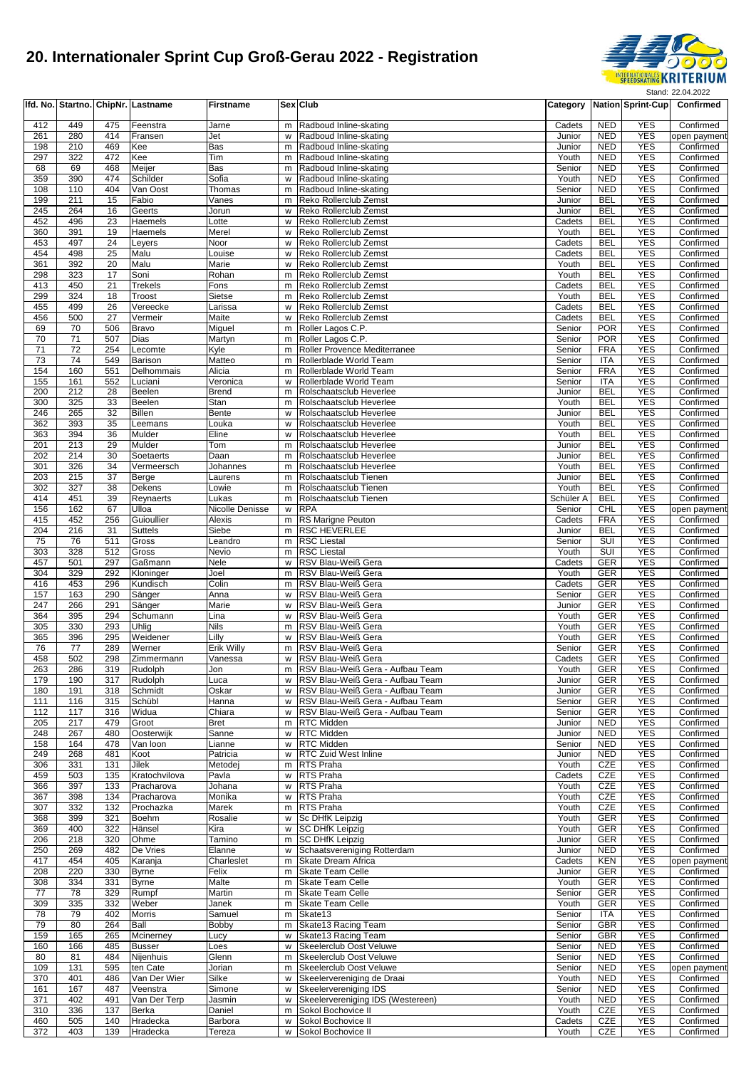

|            |            |                 | Ifd. No. Startno. ChipNr. Lastname | <b>Firstname</b>      |        | Sex Club                                                             |                  |                          | Category Nation Sprint-Cup | Confirmed                 |
|------------|------------|-----------------|------------------------------------|-----------------------|--------|----------------------------------------------------------------------|------------------|--------------------------|----------------------------|---------------------------|
| 412        | 449        | 475             | Feenstra                           | Jarne                 | m      | Radboud Inline-skating                                               | Cadets           | <b>NED</b>               | <b>YES</b>                 | Confirmed                 |
| 261        | 280        | 414             | Fransen                            | Jet                   | w      | Radboud Inline-skating                                               | Junior           | <b>NED</b>               | <b>YES</b>                 | open payment              |
| 198        | 210        | 469             | Kee                                | Bas                   | m      | Radboud Inline-skating                                               | Junior           | <b>NED</b>               | <b>YES</b>                 | Confirmed                 |
| 297        | 322        | 472             | Kee                                | Tim                   | m      | Radboud Inline-skating                                               | Youth            | <b>NED</b>               | <b>YES</b>                 | Confirmed                 |
| 68         | 69         | 468             | Meijer                             | Bas                   | m      | Radboud Inline-skating                                               | Senior           | <b>NED</b>               | <b>YES</b><br><b>YES</b>   | Confirmed                 |
| 359<br>108 | 390<br>110 | 474<br>404      | Schilder<br>Van Oost               | Sofia<br>Thomas       | W<br>m | Radboud Inline-skating<br>Radboud Inline-skating                     | Youth<br>Senior  | <b>NED</b><br><b>NED</b> | <b>YES</b>                 | Confirmed<br>Confirmed    |
| 199        | 211        | 15              | Fabio                              | Vanes                 | m      | Reko Rollerclub Zemst                                                | Junior           | <b>BEL</b>               | <b>YES</b>                 | Confirmed                 |
| 245        | 264        | 16              | Geerts                             | Jorun                 | w      | Reko Rollerclub Zemst                                                | Junior           | <b>BEL</b>               | <b>YES</b>                 | Confirmed                 |
| 452        | 496        | 23              | Haemels                            | Lotte                 | W      | Reko Rollerclub Zemst                                                | Cadets           | <b>BEL</b>               | <b>YES</b>                 | Confirmed                 |
| 360        | 391        | 19              | Haemels                            | Merel                 | W      | Reko Rollerclub Zemst                                                | Youth            | <b>BEL</b>               | <b>YES</b>                 | Confirmed                 |
| 453<br>454 | 497<br>498 | 24<br>25        | Leyers<br>Malu                     | Noor<br>Louise        | w<br>W | Reko Rollerclub Zemst<br>Reko Rollerclub Zemst                       | Cadets<br>Cadets | <b>BEL</b><br><b>BEL</b> | <b>YES</b><br><b>YES</b>   | Confirmed<br>Confirmed    |
| 361        | 392        | 20              | Malu                               | Marie                 | w      | Reko Rollerclub Zemst                                                | Youth            | <b>BEL</b>               | <b>YES</b>                 | Confirmed                 |
| 298        | 323        | 17              | Soni                               | Rohan                 | m      | Reko Rollerclub Zemst                                                | Youth            | <b>BEL</b>               | <b>YES</b>                 | Confirmed                 |
| 413        | 450        | $\overline{21}$ | Trekels                            | Fons                  | m      | Reko Rollerclub Zemst                                                | Cadets           | <b>BEL</b>               | <b>YES</b>                 | Confirmed                 |
| 299<br>455 | 324<br>499 | 18              | Troost                             | Sietse                | m      | Reko Rollerclub Zemst                                                | Youth            | BEL<br><b>BEL</b>        | <b>YES</b>                 | Confirmed                 |
| 456        | 500        | 26<br>27        | Vereecke<br>Vermeir                | Larissa<br>Maite      | W<br>w | Reko Rollerclub Zemst<br>Reko Rollerclub Zemst                       | Cadets<br>Cadets | BEL                      | <b>YES</b><br><b>YES</b>   | Confirmed<br>Confirmed    |
| 69         | 70         | 506             | Bravo                              | Miguel                | m      | Roller Lagos C.P.                                                    | Senior           | <b>POR</b>               | <b>YES</b>                 | Confirmed                 |
| 70         | 71         | 507             | Dias                               | Martyn                | m      | Roller Lagos C.P.                                                    | Senior           | <b>POR</b>               | <b>YES</b>                 | Confirmed                 |
| 71         | 72         | 254             | Lecomte                            | Kyle                  | m      | Roller Provence Mediterranee                                         | Senior           | <b>FRA</b>               | <b>YES</b>                 | Confirmed                 |
| 73<br>154  | 74<br>160  | 549<br>551      | Barison                            | Matteo<br>Alicia      | m      | Rollerblade World Team                                               | Senior<br>Senior | ITA<br><b>FRA</b>        | <b>YES</b><br><b>YES</b>   | Confirmed                 |
| 155        | 161        | 552             | Delhommais<br>Luciani              | Veronica              | m<br>w | Rollerblade World Team<br>Rollerblade World Team                     | Senior           | <b>ITA</b>               | <b>YES</b>                 | Confirmed<br>Confirmed    |
| 200        | 212        | 28              | Beelen                             | <b>Brend</b>          | m      | Rolschaatsclub Heverlee                                              | Junior           | <b>BEL</b>               | <b>YES</b>                 | Confirmed                 |
| 300        | 325        | 33              | Beelen                             | Stan                  | m      | Rolschaatsclub Heverlee                                              | Youth            | <b>BEL</b>               | <b>YES</b>                 | Confirmed                 |
| 246        | 265        | 32              | <b>Billen</b>                      | Bente                 | w      | Rolschaatsclub Heverlee                                              | Junior           | <b>BEL</b>               | <b>YES</b>                 | Confirmed                 |
| 362<br>363 | 393<br>394 | 35<br>36        | Leemans<br>Mulder                  | Louka<br>Eline        | w<br>w | Rolschaatsclub Heverlee<br>Rolschaatsclub Heverlee                   | Youth<br>Youth   | <b>BEL</b><br><b>BEL</b> | <b>YES</b><br><b>YES</b>   | Confirmed<br>Confirmed    |
| 201        | 213        | 29              | Mulder                             | Tom                   | m      | Rolschaatsclub Heverlee                                              | Junior           | <b>BEL</b>               | <b>YES</b>                 | Confirmed                 |
| 202        | 214        | 30              | Soetaerts                          | Daan                  | m      | Rolschaatsclub Heverlee                                              | Junior           | <b>BEL</b>               | <b>YES</b>                 | Confirmed                 |
| 301        | 326        | 34              | Vermeersch                         | Johannes              | m      | Rolschaatsclub Heverlee                                              | Youth            | <b>BEL</b>               | <b>YES</b>                 | Confirmed                 |
| 203<br>302 | 215<br>327 | 37<br>38        | Berge<br>Dekens                    | Laurens<br>Lowie      | m<br>m | Rolschaatsclub Tienen<br>Rolschaatsclub Tienen                       | Junior<br>Youth  | <b>BEL</b><br><b>BEL</b> | <b>YES</b><br><b>YES</b>   | Confirmed<br>Confirmed    |
| 414        | 451        | 39              | Reynaerts                          | Lukas                 | m      | Rolschaatsclub Tienen                                                | Schüler A        | <b>BEL</b>               | <b>YES</b>                 | Confirmed                 |
| 156        | 162        | 67              | Ulloa                              | Nicolle Denisse       | w      | <b>RPA</b>                                                           | Senior           | <b>CHL</b>               | <b>YES</b>                 | open payment              |
| 415        | 452        | 256             | Guioullier                         | Alexis                | m      | RS Marigne Peuton                                                    | Cadets           | <b>FRA</b>               | <b>YES</b>                 | Confirmed                 |
| 204<br>75  | 216<br>76  | 31<br>511       | Suttels<br>Gross                   | Siebe<br>Leandro      | m<br>m | <b>RSC HEVERLEE</b><br><b>RSC Liestal</b>                            | Junior<br>Senior | <b>BEL</b><br>SUI        | <b>YES</b><br><b>YES</b>   | Confirmed<br>Confirmed    |
| 303        | 328        | 512             | Gross                              | Nevio                 | m      | <b>RSC Liestal</b>                                                   | Youth            | SUI                      | <b>YES</b>                 | Confirmed                 |
| 457        | 501        | 297             | Gaßmann                            | Nele                  | W      | RSV Blau-Weiß Gera                                                   | Cadets           | <b>GER</b>               | <b>YES</b>                 | Confirmed                 |
| 304        | 329        | 292             | Kloninger                          | Joel                  | m      | RSV Blau-Weiß Gera                                                   | Youth            | <b>GER</b>               | <b>YES</b>                 | Confirmed                 |
| 416<br>157 | 453<br>163 | 296<br>290      | Kundisch                           | Colin<br>Anna         | m<br>w | RSV Blau-Weiß Gera<br>RSV Blau-Weiß Gera                             | Cadets<br>Senior | GER<br><b>GER</b>        | <b>YES</b><br><b>YES</b>   | Confirmed<br>Confirmed    |
| 247        | 266        | 291             | Sänger<br>Sänger                   | Marie                 | w      | RSV Blau-Weiß Gera                                                   | Junior           | <b>GER</b>               | <b>YES</b>                 | Confirmed                 |
| 364        | 395        | 294             | Schumann                           | Lina                  | W      | RSV Blau-Weiß Gera                                                   | Youth            | <b>GER</b>               | <b>YES</b>                 | Confirmed                 |
| 305        | 330        | 293             | Uhlig                              | <b>Nils</b>           | m      | RSV Blau-Weiß Gera                                                   | Youth            | <b>GER</b>               | <b>YES</b>                 | Confirmed                 |
| 365<br>76  | 396<br>77  | 295<br>289      | Weidener<br>Werner                 | Lilly                 | W      | RSV Blau-Weiß Gera<br>RSV Blau-Weiß Gera                             | Youth<br>Senior  | GER                      | <b>YES</b><br><b>YES</b>   | Confirmed<br>Confirmed    |
| 458        | 502        | 298             | Zimmermann                         | Erik Willy<br>Vanessa | m<br>w | RSV Blau-Weiß Gera                                                   | Cadets           | <b>GER</b><br><b>GER</b> | <b>YES</b>                 | Confirmed                 |
| 263        | 286        | 319             | Rudolph                            | Jon                   |        | m  RSV Blau-Weiß Gera - Aufbau Team                                  | Youth            | <b>GER</b>               | YES                        | Confirmed                 |
| 179        | 190        | 317             | Rudolph                            | Luca                  | W      | RSV Blau-Weiß Gera - Aufbau Team                                     | Junior           | <b>GER</b>               | <b>YES</b>                 | Confirmed                 |
| 180        | 191        | 318             | Schmidt                            | Oskar                 | w      | RSV Blau-Weiß Gera - Aufbau Team                                     | Junior           | GER                      | <b>YES</b>                 | Confirmed                 |
| 111<br>112 | 116<br>117 | 315<br>316      | Schübl<br>Widua                    | Hanna<br>Chiara       | W<br>w | RSV Blau-Weiß Gera - Aufbau Team<br>RSV Blau-Weiß Gera - Aufbau Team | Senior<br>Senior | <b>GER</b><br>GER        | <b>YES</b><br><b>YES</b>   | Confirmed<br>Confirmed    |
| 205        | 217        | 479             | Groot                              | <b>Bret</b>           | m      | RTC Midden                                                           | Junior           | <b>NED</b>               | <b>YES</b>                 | Confirmed                 |
| 248        | 267        | 480             | Oosterwijk                         | Sanne                 | w      | RTC Midden                                                           | Junior           | <b>NED</b>               | <b>YES</b>                 | Confirmed                 |
| 158        | 164        | 478             | Van loon                           | Lianne                | w      | RTC Midden                                                           | Senior           | <b>NED</b>               | <b>YES</b>                 | Confirmed                 |
| 249<br>306 | 268<br>331 | 481<br>131      | Koot<br>Jilek                      | Patricia<br>Metodei   | w<br>m | <b>RTC Zuid West Inline</b><br><b>RTS Praha</b>                      | Junior<br>Youth  | <b>NED</b><br>CZE        | <b>YES</b><br><b>YES</b>   | Confirmed<br>Confirmed    |
| 459        | 503        | 135             | Kratochvilova                      | Pavla                 | w      | <b>RTS Praha</b>                                                     | Cadets           | CZE                      | <b>YES</b>                 | Confirmed                 |
| 366        | 397        | 133             | Pracharova                         | Johana                | W      | RTS Praha                                                            | Youth            | CZE                      | <b>YES</b>                 | Confirmed                 |
| 367        | 398        | 134             | Pracharova                         | Monika                | w      | RTS Praha                                                            | Youth            | CZE                      | <b>YES</b>                 | Confirmed                 |
| 307<br>368 | 332<br>399 | 132<br>321      | Prochazka<br>Boehm                 | Marek<br>Rosalie      | m<br>w | RTS Praha<br>Sc DHfK Leipzig                                         | Youth<br>Youth   | CZE<br><b>GER</b>        | <b>YES</b><br><b>YES</b>   | Confirmed<br>Confirmed    |
| 369        | 400        | 322             | Hänsel                             | Kira                  | w      | <b>SC DHfK Leipzig</b>                                               | Youth            | GER                      | <b>YES</b>                 | Confirmed                 |
| 206        | 218        | 320             | Ohme                               | Tamino                | m      | <b>SC DHfK Leipzig</b>                                               | Junior           | <b>GER</b>               | <b>YES</b>                 | Confirmed                 |
| 250        | 269        | 482             | De Vries                           | Elanne                | w      | Schaatsvereniging Rotterdam                                          | Junior           | <b>NED</b>               | <b>YES</b>                 | Confirmed                 |
| 417<br>208 | 454<br>220 | 405<br>330      | Karanja                            | Charleslet<br>Felix   | m      | Skate Dream Africa<br><b>Skate Team Celle</b>                        | Cadets<br>Junior | KEN<br><b>GER</b>        | <b>YES</b><br><b>YES</b>   | open payment<br>Confirmed |
| 308        | 334        | 331             | <b>Byrne</b><br><b>Byrne</b>       | Malte                 | m<br>m | Skate Team Celle                                                     | Youth            | <b>GER</b>               | <b>YES</b>                 | Confirmed                 |
| 77         | 78         | 329             | Rumpf                              | Martin                | m      | Skate Team Celle                                                     | Senior           | <b>GER</b>               | <b>YES</b>                 | Confirmed                 |
| 309        | 335        | 332             | Weber                              | Janek                 | m      | Skate Team Celle                                                     | Youth            | GER                      | <b>YES</b>                 | Confirmed                 |
| 78         | 79         | 402             | <b>Morris</b>                      | Samuel                | m      | Skate13                                                              | Senior           | <b>ITA</b>               | <b>YES</b>                 | Confirmed                 |
| 79<br>159  | 80<br>165  | 264<br>265      | Ball<br>Mcinerney                  | Bobby<br>Lucy         | m<br>W | Skate 13 Racing Team<br>Skate13 Racing Team                          | Senior<br>Senior | <b>GBR</b><br><b>GBR</b> | <b>YES</b><br><b>YES</b>   | Confirmed<br>Confirmed    |
| 160        | 166        | 485             | <b>Busser</b>                      | Loes                  | W      | Skeelerclub Oost Veluwe                                              | Senior           | <b>NED</b>               | <b>YES</b>                 | Confirmed                 |
| 80         | 81         | 484             | Nijenhuis                          | Glenn                 | m      | Skeelerclub Oost Veluwe                                              | Senior           | <b>NED</b>               | <b>YES</b>                 | Confirmed                 |
| 109        | 131        | 595             | ten Cate                           | Jorian                | m      | Skeelerclub Oost Veluwe                                              | Senior           | <b>NED</b>               | <b>YES</b>                 | open payment              |
| 370<br>161 | 401<br>167 | 486<br>487      | Van Der Wier<br>Veenstra           | Silke<br>Simone       | w<br>w | Skeelervereniging de Draai<br>Skeelervereniging IDS                  | Youth<br>Senior  | <b>NED</b><br><b>NED</b> | <b>YES</b><br><b>YES</b>   | Confirmed<br>Confirmed    |
| 371        | 402        | 491             | Van Der Terp                       | Jasmin                | W      | Skeelervereniging IDS (Westereen)                                    | Youth            | <b>NED</b>               | <b>YES</b>                 | Confirmed                 |
| 310        | 336        | 137             | Berka                              | Daniel                | m      | Sokol Bochovice II                                                   | Youth            | CZE                      | <b>YES</b>                 | Confirmed                 |
| 460        | 505        | 140             | Hradecka                           | Barbora               | W      | Sokol Bochovice II                                                   | Cadets           | CZE                      | <b>YES</b>                 | Confirmed                 |
| 372        | 403        | 139             | Hradecka                           | Tereza                | W      | Sokol Bochovice II                                                   | Youth            | CZE                      | <b>YES</b>                 | Confirmed                 |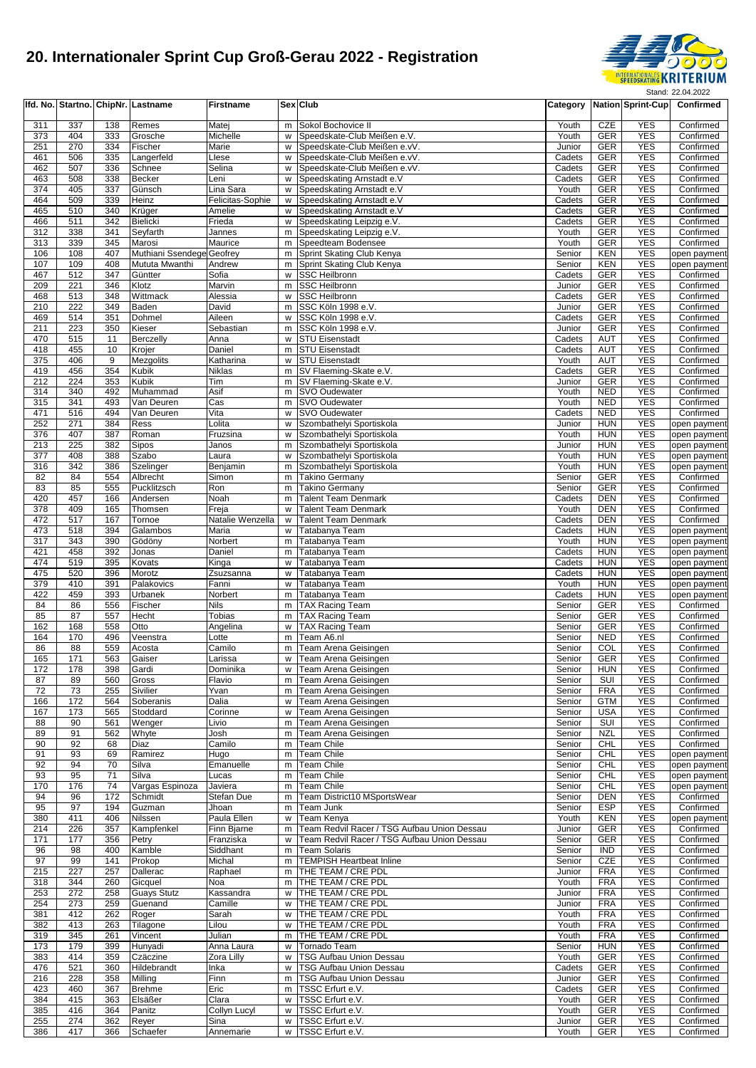

|            |            |            | Ifd. No. Startno. ChipNr. Lastname | <b>Firstname</b>          |        | Sex Club                                                     | Category         |                          | <b>Nation Sprint-Cup</b> | Confirmed                    |
|------------|------------|------------|------------------------------------|---------------------------|--------|--------------------------------------------------------------|------------------|--------------------------|--------------------------|------------------------------|
| 311        | 337        | 138        | Remes                              | Matej                     | m      | Sokol Bochovice II                                           | Youth            | CZE                      | <b>YES</b>               | Confirmed                    |
| 373        | 404        | 333        | Grosche                            | Michelle                  | W      | Speedskate-Club Meißen e.V.                                  | Youth            | <b>GER</b>               | <b>YES</b>               | Confirmed                    |
| 251        | 270        | 334        | Fischer                            | Marie                     | W      | Speedskate-Club Meißen e.vV.                                 | Junior           | <b>GER</b>               | <b>YES</b>               | Confirmed                    |
| 461<br>462 | 506<br>507 | 335<br>336 | Langerfeld<br>Schnee               | Llese<br>Selina           | w<br>w | Speedskate-Club Meißen e.vV.<br>Speedskate-Club Meißen e.vV. | Cadets<br>Cadets | <b>GER</b><br><b>GER</b> | <b>YES</b><br><b>YES</b> | Confirmed<br>Confirmed       |
| 463        | 508        | 338        | <b>Becker</b>                      | Leni                      | W      | Speedskating Arnstadt e.V                                    | Cadets           | <b>GER</b>               | <b>YES</b>               | Confirmed                    |
| 374        | 405        | 337        | Günsch                             | Lina Sara                 | W      | Speedskating Arnstadt e.V                                    | Youth            | <b>GER</b>               | <b>YES</b>               | Confirmed                    |
| 464        | 509        | 339        | Heinz                              | Felicitas-Sophie          | W      | Speedskating Arnstadt e.V                                    | Cadets           | <b>GER</b>               | <b>YES</b>               | Confirmed                    |
| 465        | 510        | 340        | Krüger                             | Amelie                    | w      | Speedskating Arnstadt e.V                                    | Cadets           | <b>GER</b>               | <b>YES</b><br><b>YES</b> | Confirmed                    |
| 466<br>312 | 511<br>338 | 342<br>341 | <b>Bielicki</b><br>Seyfarth        | Frieda<br>Jannes          | W<br>m | Speedskating Leipzig e.V.<br>Speedskating Leipzig e.V.       | Cadets<br>Youth  | <b>GER</b><br><b>GER</b> | <b>YES</b>               | Confirmed<br>Confirmed       |
| 313        | 339        | 345        | Marosi                             | Maurice                   | m      | Speedteam Bodensee                                           | Youth            | <b>GER</b>               | <b>YES</b>               | Confirmed                    |
| 106        | 108        | 407        | Muthiani Ssendege Geofrey          |                           | m      | Sprint Skating Club Kenya                                    | Senior           | <b>KEN</b>               | <b>YES</b>               | open payment                 |
| 107        | 109        | 408        | Mututa Mwanthi                     | Andrew                    | m      | Sprint Skating Club Kenya                                    | Senior           | KEN                      | <b>YES</b>               | open payment                 |
| 467<br>209 | 512<br>221 | 347<br>346 | Güntter<br>Klotz                   | Sofia<br>Marvin           | w<br>m | <b>SSC Heilbronn</b><br>SSC Heilbronn                        | Cadets<br>Junior | <b>GER</b><br>GER        | <b>YES</b><br><b>YES</b> | Confirmed<br>Confirmed       |
| 468        | 513        | 348        | Wittmack                           | Alessia                   | W      | <b>SSC Heilbronn</b>                                         | Cadets           | <b>GER</b>               | <b>YES</b>               | Confirmed                    |
| 210        | 222        | 349        | Baden                              | David                     | m      | SSC Köln 1998 e.V.                                           | Junior           | GER                      | <b>YES</b>               | Confirmed                    |
| 469        | 514        | 351        | Dohmel                             | Aileen                    | W      | SSC Köln 1998 e.V.                                           | Cadets           | <b>GER</b>               | <b>YES</b>               | Confirmed                    |
| 211        | 223        | 350        | Kieser                             | Sebastian                 | m      | SSC Köln 1998 e.V.                                           | Junior           | <b>GER</b>               | <b>YES</b><br><b>YES</b> | Confirmed                    |
| 470<br>418 | 515<br>455 | 11<br>10   | <b>Berczelly</b><br>Krojer         | Anna<br>Daniel            | w<br>m | <b>STU Eisenstadt</b><br><b>STU Eisenstadt</b>               | Cadets<br>Cadets | <b>AUT</b><br><b>AUT</b> | <b>YES</b>               | Confirmed<br>Confirmed       |
| 375        | 406        | 9          | Mezgolits                          | Katharina                 | w      | <b>STU Eisenstadt</b>                                        | Youth            | <b>AUT</b>               | <b>YES</b>               | Confirmed                    |
| 419        | 456        | 354        | <b>Kubik</b>                       | Niklas                    |        | m SV Flaeming-Skate e.V.                                     | Cadets           | <b>GER</b>               | <b>YES</b>               | Confirmed                    |
| 212        | 224        | 353        | <b>Kubik</b>                       | Tim                       |        | m SV Flaeming-Skate e.V.                                     | Junior           | <b>GER</b>               | <b>YES</b>               | Confirmed                    |
| 314<br>315 | 340<br>341 | 492<br>493 | Muhammad<br>Van Deuren             | Asif<br>Cas               | m      | m SVO Oudewater<br>SVO Oudewater                             | Youth<br>Youth   | <b>NED</b><br><b>NED</b> | <b>YES</b><br><b>YES</b> | Confirmed<br>Confirmed       |
| 471        | 516        | 494        | Van Deuren                         | Vita                      | W      | <b>SVO Oudewater</b>                                         | Cadets           | <b>NED</b>               | <b>YES</b>               | Confirmed                    |
| 252        | 271        | 384        | Ress                               | Lolita                    | w      | Szombathelyi Sportiskola                                     | Junior           | <b>HUN</b>               | <b>YES</b>               | open payment                 |
| 376        | 407        | 387        | Roman                              | Fruzsina                  | w      | Szombathelyi Sportiskola                                     | Youth            | <b>HUN</b>               | <b>YES</b>               | open payment                 |
| 213        | 225        | 382        | Sipos                              | Janos                     | m      | Szombathelyi Sportiskola                                     | Junior           | <b>HUN</b>               | <b>YES</b>               | open payment                 |
| 377<br>316 | 408<br>342 | 388<br>386 | Szabo<br>Szelinger                 | Laura<br>Benjamin         | W<br>m | Szombathelyi Sportiskola<br>Szombathelyi Sportiskola         | Youth<br>Youth   | <b>HUN</b><br><b>HUN</b> | <b>YES</b><br><b>YES</b> | open payment<br>open payment |
| 82         | 84         | 554        | Albrecht                           | Simon                     | m      | <b>Takino Germany</b>                                        | Senior           | <b>GER</b>               | <b>YES</b>               | Confirmed                    |
| 83         | 85         | 555        | Pucklitzsch                        | Ron                       | m      | <b>Takino Germany</b>                                        | Senior           | <b>GER</b>               | <b>YES</b>               | Confirmed                    |
| 420        | 457        | 166        | Andersen                           | Noah                      | m      | <b>Talent Team Denmark</b>                                   | Cadets           | <b>DEN</b>               | <b>YES</b>               | Confirmed                    |
| 378        | 409        | 165        | Thomsen                            | Freja                     | W      | <b>Talent Team Denmark</b>                                   | Youth            | <b>DEN</b>               | <b>YES</b>               | Confirmed                    |
| 472<br>473 | 517<br>518 | 167<br>394 | Tornoe<br>Galambos                 | Natalie Wenzella<br>Maria | W<br>w | Talent Team Denmark<br>Tatabanya Team                        | Cadets<br>Cadets | <b>DEN</b><br><b>HUN</b> | <b>YES</b><br><b>YES</b> | Confirmed<br>open payment    |
| 317        | 343        | 390        | Gödöny                             | Norbert                   | m      | Tatabanya Team                                               | Youth            | <b>HUN</b>               | <b>YES</b>               | open payment                 |
| 421        | 458        | 392        | Jonas                              | Daniel                    | m      | Tatabanya Team                                               | Cadets           | <b>HUN</b>               | <b>YES</b>               | open payment                 |
| 474        | 519        | 395        | Kovats                             | Kinga                     | W      | Tatabanya Team                                               | Cadets           | <b>HUN</b>               | <b>YES</b>               | open payment                 |
| 475        | 520        | 396        | Morotz                             | Zsuzsanna                 | W      | Tatabanya Team                                               | Cadets           | <b>HUN</b>               | <b>YES</b>               | open payment                 |
| 379<br>422 | 410<br>459 | 391<br>393 | Palakovics<br>Urbanek              | Fanni<br>Norbert          | W<br>m | Tatabanya Team<br>Tatabanya Team                             | Youth<br>Cadets  | <b>HUN</b><br><b>HUN</b> | <b>YES</b><br><b>YES</b> | open payment<br>open payment |
| 84         | 86         | 556        | Fischer                            | Nils                      | m      | <b>TAX Racing Team</b>                                       | Senior           | <b>GER</b>               | <b>YES</b>               | Confirmed                    |
| 85         | 87         | 557        | Hecht                              | Tobias                    | m      | <b>TAX Racing Team</b>                                       | Senior           | <b>GER</b>               | <b>YES</b>               | Confirmed                    |
| 162        | 168        | 558        | Otto                               | Angelina                  | W      | <b>TAX Racing Team</b>                                       | Senior           | <b>GER</b>               | <b>YES</b>               | Confirmed                    |
| 164<br>86  | 170<br>88  | 496<br>559 | Veenstra<br>Acosta                 | Lotte<br>Camilo           | m<br>m | Team A6.nl<br>Team Arena Geisingen                           | Senior<br>Senior | <b>NED</b><br>COL        | <b>YES</b><br><b>YES</b> | Confirmed<br>Confirmed       |
| 165        | 171        | 563        | Gaiser                             | Larissa                   | W      | Team Arena Geisingen                                         | Senior           | <b>GER</b>               | <b>YES</b>               | Confirmed                    |
| 172        | 178        | 398        | Gardi                              | Dominika                  | W      | Team Arena Geisingen                                         | Senior           | <b>HUN</b>               | YES                      | Confirmed                    |
| 87         | 89         | 560        | Gross                              | Flavio                    | m      | Team Arena Geisingen                                         | Senior           | SUI                      | <b>YES</b>               | Confirmed                    |
| 72         | 73         | 255        | Sivilier                           | Yvan                      | m      | Team Arena Geisingen                                         | Senior           | <b>FRA</b>               | <b>YES</b>               | Confirmed                    |
| 166<br>167 | 172<br>173 | 564<br>565 | Soberanis<br>Stoddard              | Dalia<br>Corinne          | W<br>W | Team Arena Geisingen<br>Team Arena Geisingen                 | Senior<br>Senior | <b>GTM</b><br><b>USA</b> | YES<br><b>YES</b>        | Confirmed<br>Confirmed       |
| 88         | 90         | 561        | Wenger                             | Livio                     | m      | Team Arena Geisingen                                         | Senior           | SUI                      | <b>YES</b>               | Confirmed                    |
| 89         | 91         | 562        | Whyte                              | Josh                      | m      | Team Arena Geisingen                                         | Senior           | <b>NZL</b>               | <b>YES</b>               | Confirmed                    |
| 90         | 92         | 68         | Diaz                               | Camilo                    | m      | Team Chile                                                   | Senior           | CHL                      | <b>YES</b>               | Confirmed                    |
| 91         | 93         | 69         | Ramirez                            | Hugo                      | m      | Team Chile                                                   | Senior           | <b>CHL</b>               | <b>YES</b>               | open payment                 |
| 92<br>93   | 94<br>95   | 70<br>71   | Silva<br>Silva                     | Emanuelle<br>Lucas        | m<br>m | Team Chile<br>Team Chile                                     | Senior<br>Senior | CHL<br>CHL               | <b>YES</b><br><b>YES</b> | open payment<br>open payment |
| 170        | 176        | 74         | Vargas Espinoza                    | Javiera                   | m      | <b>Team Chile</b>                                            | Senior           | CHL                      | <b>YES</b>               | open payment                 |
| 94         | 96         | 172        | Schmidt                            | Stefan Due                | m      | Team District10 MSportsWear                                  | Senior           | <b>DEN</b>               | <b>YES</b>               | Confirmed                    |
| 95         | 97         | 194        | Guzman                             | Jhoan                     | m      | Team Junk                                                    | Senior           | <b>ESP</b>               | <b>YES</b>               | Confirmed                    |
| 380        | 411<br>226 | 406<br>357 | Nilssen                            | Paula Ellen               | W      | Team Kenya<br>Team Redvil Racer / TSG Aufbau Union Dessau    | Youth            | KEN                      | <b>YES</b><br><b>YES</b> | open payment                 |
| 214<br>171 | 177        | 356        | Kampfenkel<br>Petry                | Finn Bjarne<br>Franziska  | m<br>W | Team Redvil Racer / TSG Aufbau Union Dessau                  | Junior<br>Senior | GER<br><b>GER</b>        | <b>YES</b>               | Confirmed<br>Confirmed       |
| 96         | 98         | 400        | Kamble                             | Siddhant                  | m      | Team Solaris                                                 | Senior           | <b>IND</b>               | <b>YES</b>               | Confirmed                    |
| 97         | 99         | 141        | Prokop                             | Michal                    | m      | <b>TEMPISH Heartbeat Inline</b>                              | Senior           | CZE                      | <b>YES</b>               | Confirmed                    |
| 215        | 227        | 257        | Dallerac                           | Raphael                   | m      | THE TEAM / CRE PDL                                           | Junior           | <b>FRA</b>               | <b>YES</b>               | Confirmed                    |
| 318<br>253 | 344<br>272 | 260<br>258 | Gicquel<br><b>Guays Stutz</b>      | Noa<br>Kassandra          | m<br>w | THE TEAM / CRE PDL<br>THE TEAM / CRE PDL                     | Youth<br>Junior  | <b>FRA</b><br><b>FRA</b> | <b>YES</b><br><b>YES</b> | Confirmed<br>Confirmed       |
| 254        | 273        | 259        | Guenand                            | Camille                   | W      | THE TEAM / CRE PDL                                           | Junior           | <b>FRA</b>               | <b>YES</b>               | Confirmed                    |
| 381        | 412        | 262        | Roger                              | Sarah                     | W      | THE TEAM / CRE PDL                                           | Youth            | <b>FRA</b>               | <b>YES</b>               | Confirmed                    |
| 382        | 413        | 263        | Tilagone                           | Lilou                     | W      | THE TEAM / CRE PDL                                           | Youth            | <b>FRA</b>               | <b>YES</b>               | Confirmed                    |
| 319        | 345        | 261        | Vincent                            | Julian                    | m      | THE TEAM / CRE PDL                                           | Youth            | <b>FRA</b>               | <b>YES</b>               | Confirmed                    |
| 173<br>383 | 179<br>414 | 399<br>359 | Hunyadi<br>Czäczine                | Anna Laura<br>Zora Lilly  | w<br>w | Tornado Team<br><b>TSG Aufbau Union Dessau</b>               | Senior<br>Youth  | <b>HUN</b><br>GER        | <b>YES</b><br><b>YES</b> | Confirmed<br>Confirmed       |
| 476        | 521        | 360        | Hildebrandt                        | Inka                      | w      | TSG Aufbau Union Dessau                                      | Cadets           | GER                      | <b>YES</b>               | Confirmed                    |
| 216        | 228        | 358        | Milling                            | Finn                      | m      | <b>TSG Aufbau Union Dessau</b>                               | Junior           | <b>GER</b>               | <b>YES</b>               | Confirmed                    |
| 423        | 460        | 367        | <b>Brehme</b>                      | Eric                      | m      | TSSC Erfurt e.V.                                             | Cadets           | GER                      | <b>YES</b>               | Confirmed                    |
| 384        | 415        | 363        | Elsäßer                            | Clara                     | w      | TSSC Erfurt e.V.                                             | Youth            | <b>GER</b>               | <b>YES</b>               | Confirmed                    |
| 385<br>255 | 416<br>274 | 364<br>362 | Panitz<br>Reyer                    | Collyn Lucyl<br>Sina      | w<br>W | TSSC Erfurt e.V.<br>TSSC Erfurt e.V.                         | Youth<br>Junior  | GER<br>GER               | <b>YES</b><br><b>YES</b> | Confirmed<br>Confirmed       |
| 386        | 417        | 366        | Schaefer                           | Annemarie                 | W      | TSSC Erfurt e.V.                                             | Youth            | <b>GER</b>               | <b>YES</b>               | Confirmed                    |